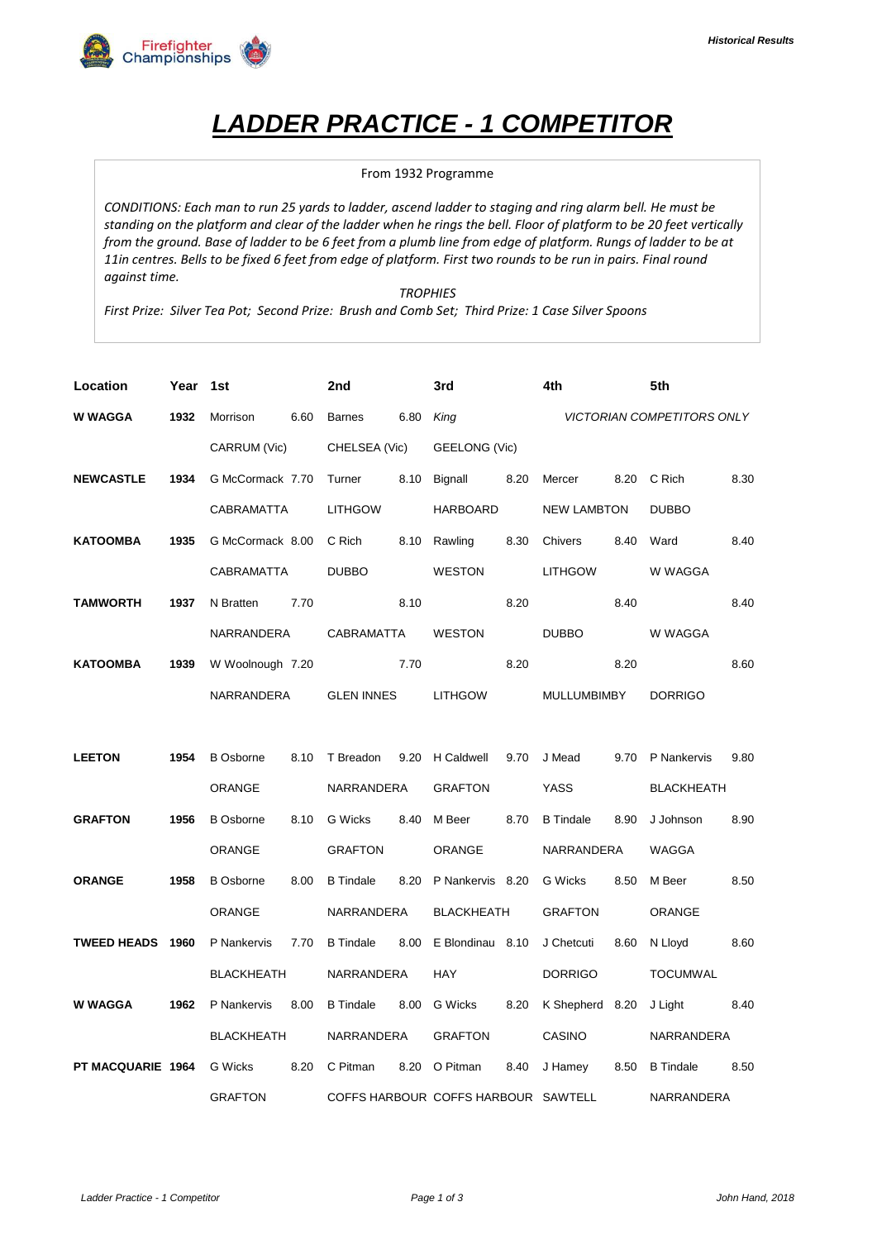

## *LADDER PRACTICE - 1 COMPETITOR*

## From 1932 Programme

*CONDITIONS: Each man to run 25 yards to ladder, ascend ladder to staging and ring alarm bell. He must be standing on the platform and clear of the ladder when he rings the bell. Floor of platform to be 20 feet vertically from the ground. Base of ladder to be 6 feet from a plumb line from edge of platform. Rungs of ladder to be at 11in centres. Bells to be fixed 6 feet from edge of platform. First two rounds to be run in pairs. Final round against time.*

*TROPHIES*

*First Prize: Silver Tea Pot; Second Prize: Brush and Comb Set; Third Prize: 1 Case Silver Spoons*

| Location          | Year | 1st               |      | 2nd                                 |            | 3rd                   |                   | 4th                |                | 5th                               |               |  |
|-------------------|------|-------------------|------|-------------------------------------|------------|-----------------------|-------------------|--------------------|----------------|-----------------------------------|---------------|--|
| <b>W WAGGA</b>    | 1932 | Morrison          | 6.60 | <b>Barnes</b>                       | 6.80       | King                  |                   |                    |                | <b>VICTORIAN COMPETITORS ONLY</b> |               |  |
|                   |      | CARRUM (Vic)      |      | CHELSEA (Vic)                       |            | GEELONG (Vic)         |                   |                    |                |                                   |               |  |
| <b>NEWCASTLE</b>  | 1934 | G McCormack 7.70  |      | Turner                              |            | 8.10 Bignall          | 8.20              | Mercer             | 8.20           | C Rich                            | 8.30          |  |
|                   |      | CABRAMATTA        |      | <b>LITHGOW</b>                      |            | <b>HARBOARD</b>       |                   | <b>NEW LAMBTON</b> |                | <b>DUBBO</b>                      |               |  |
| <b>KATOOMBA</b>   | 1935 | G McCormack 8.00  |      | C Rich                              |            | 8.10 Rawling          | 8.30              | Chivers            | 8.40           | Ward                              | 8.40          |  |
|                   |      | CABRAMATTA        |      | <b>DUBBO</b>                        |            | <b>WESTON</b>         |                   | <b>LITHGOW</b>     |                | W WAGGA                           |               |  |
| <b>TAMWORTH</b>   | 1937 | N Bratten         | 7.70 |                                     | 8.10       |                       | 8.20              |                    | 8.40           |                                   | 8.40          |  |
|                   |      | NARRANDERA        |      | CABRAMATTA                          |            | <b>WESTON</b>         |                   | <b>DUBBO</b>       |                | W WAGGA                           |               |  |
| <b>KATOOMBA</b>   | 1939 | W Woolnough 7.20  |      |                                     | 7.70       |                       | 8.20              |                    | 8.20           |                                   | 8.60          |  |
|                   |      | NARRANDERA        |      | <b>GLEN INNES</b>                   |            | <b>LITHGOW</b>        |                   | <b>MULLUMBIMBY</b> |                | <b>DORRIGO</b>                    |               |  |
|                   |      |                   |      |                                     |            |                       |                   |                    |                |                                   |               |  |
| <b>LEETON</b>     | 1954 | <b>B</b> Osborne  | 8.10 | T Breadon                           |            | 9.20 H Caldwell       | 9.70              | J Mead             | 9.70           | P Nankervis                       | 9.80          |  |
|                   |      | <b>ORANGE</b>     |      | NARRANDERA                          |            | <b>GRAFTON</b>        |                   | <b>YASS</b>        |                | <b>BLACKHEATH</b>                 |               |  |
| <b>GRAFTON</b>    | 1956 | <b>B</b> Osborne  | 8.10 | G Wicks                             |            | 8.40 M Beer           | 8.70              | <b>B</b> Tindale   | 8.90           | J Johnson                         | 8.90          |  |
|                   |      | ORANGE            |      | <b>GRAFTON</b>                      |            | <b>ORANGE</b>         |                   | NARRANDERA         |                | WAGGA                             |               |  |
| <b>ORANGE</b>     | 1958 | <b>B</b> Osborne  | 8.00 | <b>B</b> Tindale                    |            | 8.20 P Nankervis 8.20 |                   | G Wicks            | 8.50           | M Beer                            | 8.50          |  |
|                   |      | <b>ORANGE</b>     |      |                                     | NARRANDERA |                       | <b>BLACKHEATH</b> |                    | <b>GRAFTON</b> |                                   | <b>ORANGE</b> |  |
| TWEED HEADS 1960  |      | P Nankervis       | 7.70 | <b>B</b> Tindale                    | 8.00       | E Blondinau 8.10      |                   | J Chetcuti         | 8.60           | N Lloyd                           | 8.60          |  |
|                   |      | <b>BLACKHEATH</b> |      | NARRANDERA                          |            | <b>HAY</b>            |                   | <b>DORRIGO</b>     |                | <b>TOCUMWAL</b>                   |               |  |
| <b>W WAGGA</b>    | 1962 | P Nankervis       | 8.00 | <b>B</b> Tindale                    |            | 8.00 G Wicks          | 8.20              | K Shepherd 8.20    |                | J Light                           | 8.40          |  |
|                   |      | <b>BLACKHEATH</b> |      | NARRANDERA                          |            | <b>GRAFTON</b>        |                   | CASINO             |                | NARRANDERA                        |               |  |
| PT MACQUARIE 1964 |      | <b>G</b> Wicks    | 8.20 | C Pitman                            |            | 8.20 O Pitman         | 8.40              | J Hamey            | 8.50           | <b>B</b> Tindale                  | 8.50          |  |
|                   |      | <b>GRAFTON</b>    |      | COFFS HARBOUR COFFS HARBOUR SAWTELL |            |                       |                   |                    |                | NARRANDERA                        |               |  |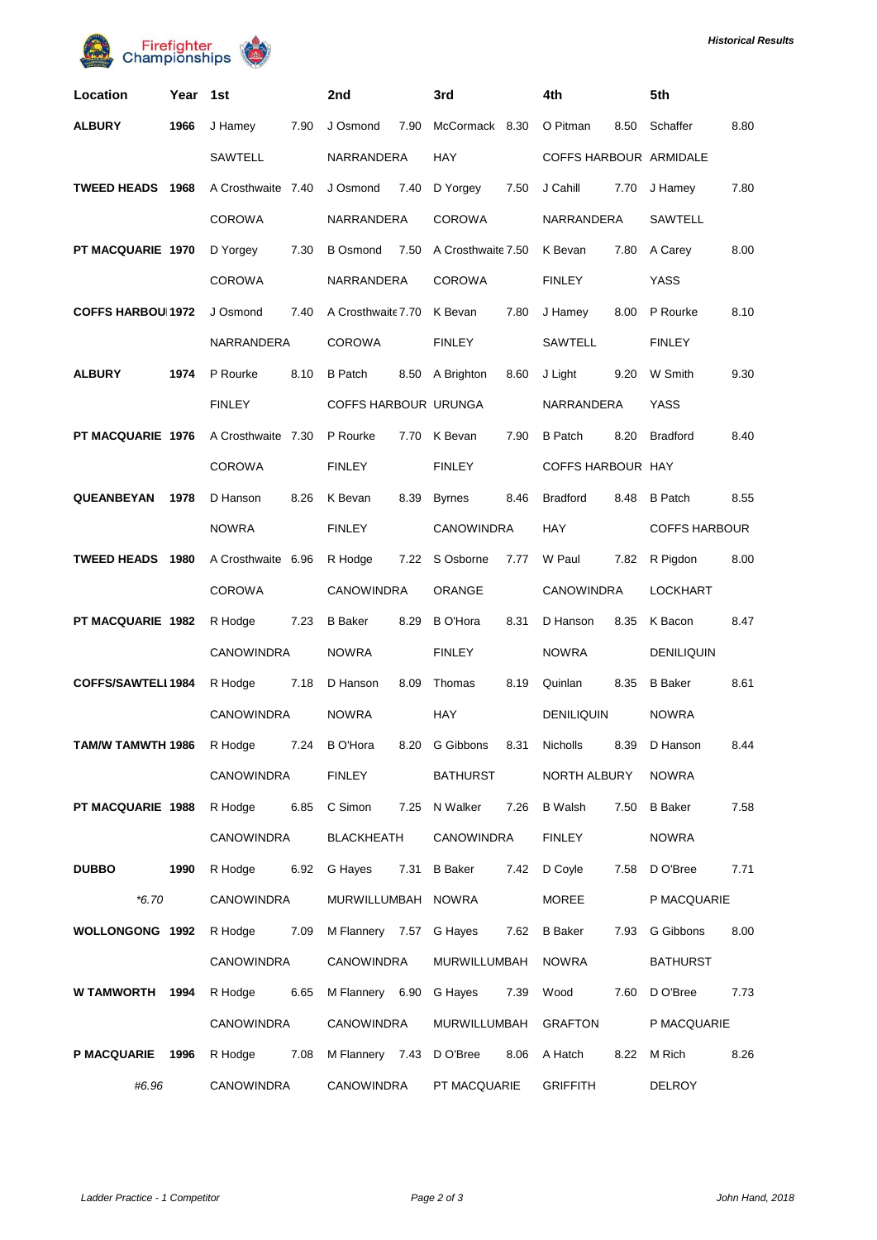



| Location                 | Year   | 1st                | 2nd                        | 3rd                     | 4th                     | 5th                     |  |
|--------------------------|--------|--------------------|----------------------------|-------------------------|-------------------------|-------------------------|--|
| <b>ALBURY</b>            | 1966   | 7.90<br>J Hamey    | J Osmond<br>7.90           | McCormack 8.30          | O Pitman<br>8.50        | Schaffer<br>8.80        |  |
|                          |        | SAWTELL            | NARRANDERA                 | <b>HAY</b>              | COFFS HARBOUR ARMIDALE  |                         |  |
| TWEED HEADS 1968         |        | A Crosthwaite 7.40 | J Osmond<br>7.40           | 7.50<br>D Yorgey        | J Cahill<br>7.70        | 7.80<br>J Hamey         |  |
|                          |        | <b>COROWA</b>      | NARRANDERA                 | <b>COROWA</b>           | NARRANDERA              | <b>SAWTELL</b>          |  |
| PT MACQUARIE 1970        |        | 7.30<br>D Yorgey   | <b>B</b> Osmond<br>7.50    | A Crosthwaite 7.50      | 7.80<br>K Bevan         | 8.00<br>A Carey         |  |
|                          |        | <b>COROWA</b>      | NARRANDERA                 | <b>COROWA</b>           | <b>FINLEY</b>           | <b>YASS</b>             |  |
| <b>COFFS HARBOU 1972</b> |        | J Osmond<br>7.40   | A Crosthwaite 7.70 K Bevan | 7.80                    | 8.00<br>J Hamey         | P Rourke<br>8.10        |  |
|                          |        | NARRANDERA         | <b>COROWA</b>              | <b>FINLEY</b>           | SAWTELL                 | <b>FINLEY</b>           |  |
| <b>ALBURY</b>            | 1974   | 8.10<br>P Rourke   | <b>B</b> Patch             | 8.60<br>8.50 A Brighton | 9.20<br>J Light         | W Smith<br>9.30         |  |
|                          |        | <b>FINLEY</b>      | COFFS HARBOUR URUNGA       |                         | NARRANDERA              | <b>YASS</b>             |  |
| PT MACQUARIE 1976        |        | A Crosthwaite 7.30 | P Rourke                   | 7.70 K Bevan<br>7.90    | 8.20<br><b>B</b> Patch  | 8.40<br><b>Bradford</b> |  |
|                          |        | <b>COROWA</b>      | <b>FINLEY</b>              | <b>FINLEY</b>           | COFFS HARBOUR HAY       |                         |  |
| <b>QUEANBEYAN</b>        | 1978   | 8.26<br>D Hanson   | K Bevan<br>8.39            | <b>Byrnes</b><br>8.46   | 8.48<br><b>Bradford</b> | 8.55<br><b>B</b> Patch  |  |
|                          |        |                    | <b>FINLEY</b>              | <b>CANOWINDRA</b>       | <b>HAY</b>              | <b>COFFS HARBOUR</b>    |  |
| <b>TWEED HEADS 1980</b>  |        | A Crosthwaite 6.96 | R Hodge<br>7.22            | S Osborne<br>7.77       | 7.82<br>W Paul          | R Pigdon<br>8.00        |  |
|                          | COROWA |                    | CANOWINDRA                 | ORANGE                  | <b>CANOWINDRA</b>       | <b>LOCKHART</b>         |  |
| PT MACQUARIE 1982        |        | R Hodge<br>7.23    | <b>B</b> Baker<br>8.29     | <b>B</b> O'Hora<br>8.31 | 8.35<br>D Hanson        | 8.47<br>K Bacon         |  |
|                          |        | <b>CANOWINDRA</b>  | <b>NOWRA</b>               | <b>FINLEY</b>           | <b>NOWRA</b>            | <b>DENILIQUIN</b>       |  |
| COFFS/SAWTELI 1984       |        | R Hodge<br>7.18    | D Hanson<br>8.09           | 8.19<br>Thomas          | 8.35<br>Quinlan         | <b>B</b> Baker<br>8.61  |  |
|                          |        | CANOWINDRA         | <b>NOWRA</b>               | <b>HAY</b>              | <b>DENILIQUIN</b>       | <b>NOWRA</b>            |  |
| <b>TAM/W TAMWTH 1986</b> |        | 7.24<br>R Hodge    | <b>B</b> O'Hora<br>8.20    | G Gibbons<br>8.31       | 8.39<br><b>Nicholls</b> | D Hanson<br>8.44        |  |
|                          |        | CANOWINDRA         | <b>FINLEY</b>              | BATHURST                | NORTH ALBURY            | <b>NOWRA</b>            |  |
| PT MACQUARIE 1988        |        | 6.85<br>R Hodge    | C Simon                    | 7.25 N Walker<br>7.26   | B Walsh<br>7.50         | 7.58<br><b>B</b> Baker  |  |
|                          |        | CANOWINDRA         | BLACKHEATH                 | <b>CANOWINDRA</b>       | <b>FINLEY</b>           | <b>NOWRA</b>            |  |
| <b>DUBBO</b>             | 1990   | R Hodge<br>6.92    | G Hayes                    | 7.31 B Baker<br>7.42    | D Coyle<br>7.58         | 7.71<br>D O'Bree        |  |
| $*6.70$                  |        | CANOWINDRA         | MURWILLUMBAH NOWRA         |                         | MOREE                   | P MACQUARIE             |  |
| <b>WOLLONGONG 1992</b>   |        | 7.09<br>R Hodge    | M Flannery 7.57 G Hayes    |                         | 7.62 B Baker<br>7.93    | 8.00<br>G Gibbons       |  |
|                          |        | CANOWINDRA         | CANOWINDRA                 | MURWILLUMBAH            | NOWRA                   | <b>BATHURST</b>         |  |
| W TAMWORTH 1994          |        | 6.65<br>R Hodge    | M Flannery 6.90 G Hayes    | 7.39                    | Wood<br>7.60            | 7.73<br>D O'Bree        |  |
|                          |        | CANOWINDRA         | CANOWINDRA                 | MURWILLUMBAH            | <b>GRAFTON</b>          | P MACQUARIE             |  |
| P MACQUARIE 1996         |        | 7.08<br>R Hodge    | M Flannery 7.43 D O'Bree   | 8.06                    | A Hatch<br>8.22         | M Rich<br>8.26          |  |
| #6.96                    |        | CANOWINDRA         | <b>CANOWINDRA</b>          | PT MACQUARIE            | <b>GRIFFITH</b>         | DELROY                  |  |